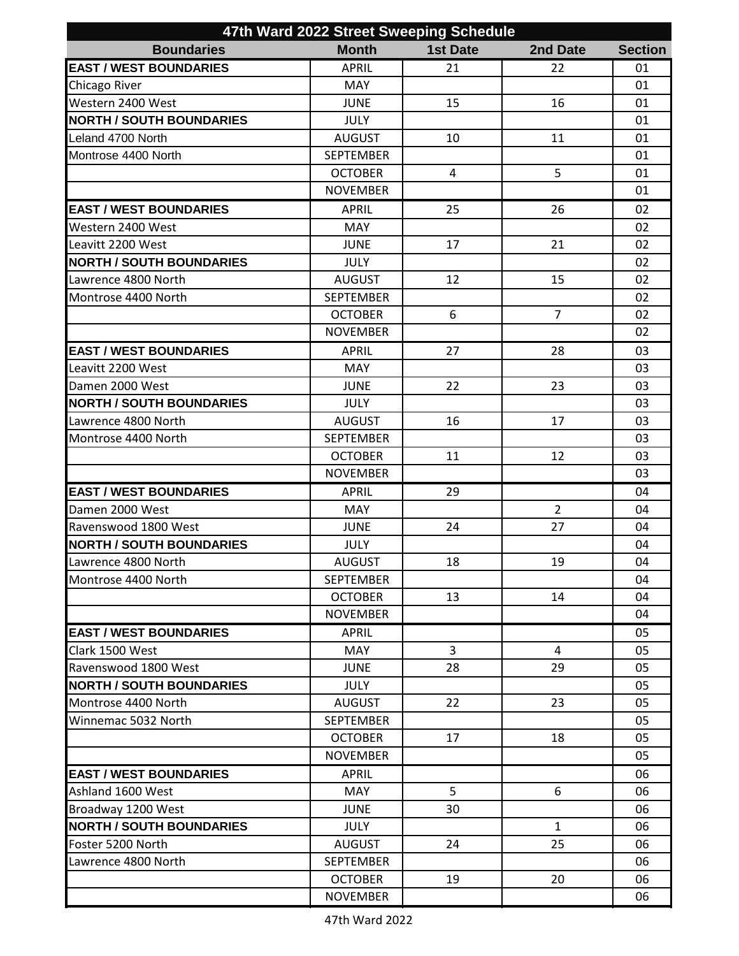| 47th Ward 2022 Street Sweeping Schedule |                  |                 |                |                |  |
|-----------------------------------------|------------------|-----------------|----------------|----------------|--|
| <b>Boundaries</b>                       | <b>Month</b>     | <b>1st Date</b> | 2nd Date       | <b>Section</b> |  |
| <b>EAST / WEST BOUNDARIES</b>           | <b>APRIL</b>     | 21              | 22             | 01             |  |
| Chicago River                           | <b>MAY</b>       |                 |                | 01             |  |
| Western 2400 West                       | <b>JUNE</b>      | 15              | 16             | 01             |  |
| <b>NORTH / SOUTH BOUNDARIES</b>         | <b>JULY</b>      |                 |                | 01             |  |
| Leland 4700 North                       | <b>AUGUST</b>    | 10              | 11             | 01             |  |
| Montrose 4400 North                     | <b>SEPTEMBER</b> |                 |                | 01             |  |
|                                         | <b>OCTOBER</b>   | 4               | 5              | 01             |  |
|                                         | <b>NOVEMBER</b>  |                 |                | 01             |  |
| <b>EAST / WEST BOUNDARIES</b>           | <b>APRIL</b>     | 25              | 26             | 02             |  |
| Western 2400 West                       | <b>MAY</b>       |                 |                | 02             |  |
| Leavitt 2200 West                       | <b>JUNE</b>      | 17              | 21             | 02             |  |
| <b>NORTH / SOUTH BOUNDARIES</b>         | <b>JULY</b>      |                 |                | 02             |  |
| Lawrence 4800 North                     | <b>AUGUST</b>    | 12              | 15             | 02             |  |
| Montrose 4400 North                     | <b>SEPTEMBER</b> |                 |                | 02             |  |
|                                         | <b>OCTOBER</b>   | 6               | $\overline{7}$ | 02             |  |
|                                         | <b>NOVEMBER</b>  |                 |                | 02             |  |
| <b>EAST / WEST BOUNDARIES</b>           | <b>APRIL</b>     | 27              | 28             | 03             |  |
| Leavitt 2200 West                       | <b>MAY</b>       |                 |                | 03             |  |
| Damen 2000 West                         | <b>JUNE</b>      | 22              | 23             | 03             |  |
| <b>NORTH / SOUTH BOUNDARIES</b>         | <b>JULY</b>      |                 |                | 03             |  |
| Lawrence 4800 North                     | <b>AUGUST</b>    | 16              | 17             | 03             |  |
| Montrose 4400 North                     | <b>SEPTEMBER</b> |                 |                | 03             |  |
|                                         | <b>OCTOBER</b>   | 11              | 12             | 03             |  |
|                                         | <b>NOVEMBER</b>  |                 |                | 03             |  |
| <b>EAST / WEST BOUNDARIES</b>           | <b>APRIL</b>     | 29              |                | 04             |  |
| Damen 2000 West                         | <b>MAY</b>       |                 | $\overline{2}$ | 04             |  |
| Ravenswood 1800 West                    | <b>JUNE</b>      | 24              | 27             | 04             |  |
| <b>NORTH / SOUTH BOUNDARIES</b>         | <b>JULY</b>      |                 |                | 04             |  |
| Lawrence 4800 North                     | AUGUST           | 18              | 19             | 04             |  |
| Montrose 4400 North                     | SEPTEMBER        |                 |                | 04             |  |
|                                         | <b>OCTOBER</b>   | 13              | 14             | 04             |  |
|                                         | <b>NOVEMBER</b>  |                 |                | 04             |  |
| <b>EAST / WEST BOUNDARIES</b>           | <b>APRIL</b>     |                 |                | 05             |  |
| Clark 1500 West                         | <b>MAY</b>       | 3               | 4              | 05             |  |
| Ravenswood 1800 West                    | <b>JUNE</b>      | 28              | 29             | 05             |  |
| <b>NORTH / SOUTH BOUNDARIES</b>         | <b>JULY</b>      |                 |                | 05             |  |
| Montrose 4400 North                     | <b>AUGUST</b>    | 22              | 23             | 05             |  |
| Winnemac 5032 North                     | <b>SEPTEMBER</b> |                 |                | 05             |  |
|                                         | <b>OCTOBER</b>   | 17              | 18             | 05             |  |
|                                         | <b>NOVEMBER</b>  |                 |                | 05             |  |
| <b>EAST / WEST BOUNDARIES</b>           | <b>APRIL</b>     |                 |                | 06             |  |
| Ashland 1600 West                       | <b>MAY</b>       | 5               | 6              | 06             |  |
| Broadway 1200 West                      | <b>JUNE</b>      | 30              |                | 06             |  |
| <b>NORTH / SOUTH BOUNDARIES</b>         | <b>JULY</b>      |                 | $\mathbf{1}$   | 06             |  |
| Foster 5200 North                       | <b>AUGUST</b>    | 24              | 25             | 06             |  |
| Lawrence 4800 North                     | <b>SEPTEMBER</b> |                 |                | 06             |  |
|                                         | <b>OCTOBER</b>   | 19              | 20             | 06             |  |
|                                         | <b>NOVEMBER</b>  |                 |                | 06             |  |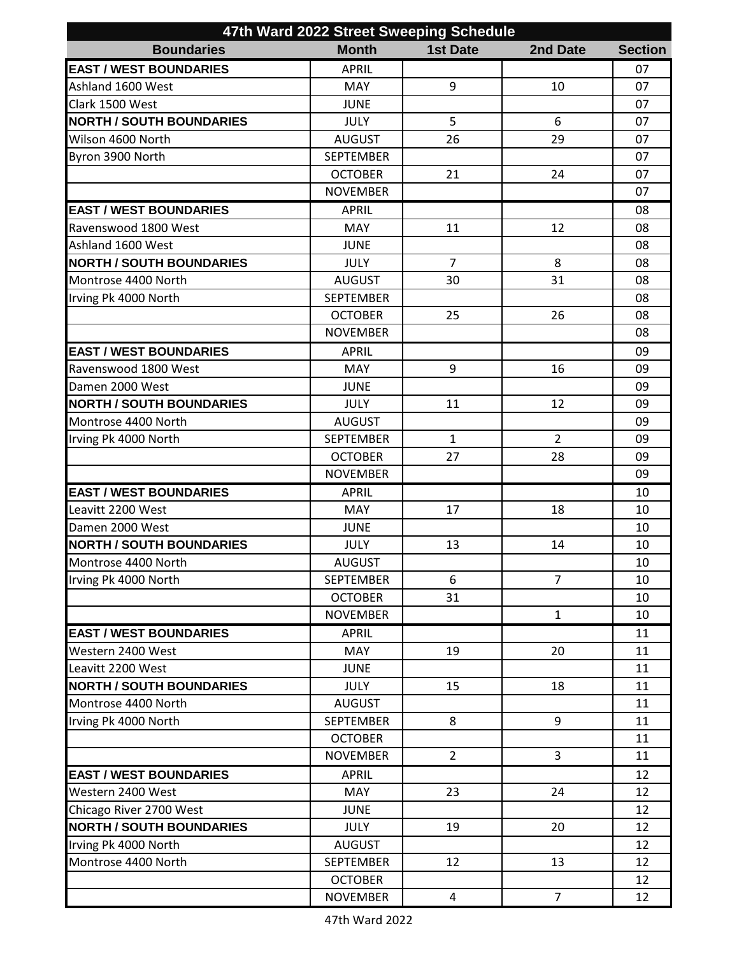| 47th Ward 2022 Street Sweeping Schedule |                  |                 |                |                |  |
|-----------------------------------------|------------------|-----------------|----------------|----------------|--|
| <b>Boundaries</b>                       | <b>Month</b>     | <b>1st Date</b> | 2nd Date       | <b>Section</b> |  |
| <b>EAST / WEST BOUNDARIES</b>           | <b>APRIL</b>     |                 |                | 07             |  |
| Ashland 1600 West                       | <b>MAY</b>       | 9               | 10             | 07             |  |
| Clark 1500 West                         | <b>JUNE</b>      |                 |                | 07             |  |
| <b>NORTH / SOUTH BOUNDARIES</b>         | <b>JULY</b>      | 5               | 6              | 07             |  |
| Wilson 4600 North                       | <b>AUGUST</b>    | 26              | 29             | 07             |  |
| Byron 3900 North                        | <b>SEPTEMBER</b> |                 |                | 07             |  |
|                                         | <b>OCTOBER</b>   | 21              | 24             | 07             |  |
|                                         | <b>NOVEMBER</b>  |                 |                | 07             |  |
| <b>EAST / WEST BOUNDARIES</b>           | <b>APRIL</b>     |                 |                | 08             |  |
| Ravenswood 1800 West                    | <b>MAY</b>       | 11              | 12             | 08             |  |
| Ashland 1600 West                       | <b>JUNE</b>      |                 |                | 08             |  |
| <b>NORTH / SOUTH BOUNDARIES</b>         | <b>JULY</b>      | $\overline{7}$  | 8              | 08             |  |
| Montrose 4400 North                     | <b>AUGUST</b>    | 30              | 31             | 08             |  |
| Irving Pk 4000 North                    | <b>SEPTEMBER</b> |                 |                | 08             |  |
|                                         | <b>OCTOBER</b>   | 25              | 26             | 08             |  |
|                                         | <b>NOVEMBER</b>  |                 |                | 08             |  |
| <b>EAST / WEST BOUNDARIES</b>           | <b>APRIL</b>     |                 |                | 09             |  |
| Ravenswood 1800 West                    | <b>MAY</b>       | 9               | 16             | 09             |  |
| Damen 2000 West                         | <b>JUNE</b>      |                 |                | 09             |  |
| <b>NORTH / SOUTH BOUNDARIES</b>         | <b>JULY</b>      | 11              | 12             | 09             |  |
| Montrose 4400 North                     | <b>AUGUST</b>    |                 |                | 09             |  |
| Irving Pk 4000 North                    | <b>SEPTEMBER</b> | $\mathbf{1}$    | $\overline{2}$ | 09             |  |
|                                         | <b>OCTOBER</b>   | 27              | 28             | 09             |  |
|                                         | <b>NOVEMBER</b>  |                 |                | 09             |  |
| <b>EAST / WEST BOUNDARIES</b>           | <b>APRIL</b>     |                 |                | 10             |  |
| Leavitt 2200 West                       | <b>MAY</b>       | 17              | 18             | 10             |  |
| Damen 2000 West                         | <b>JUNE</b>      |                 |                | 10             |  |
| <b>NORTH / SOUTH BOUNDARIES</b>         | <b>JULY</b>      | 13              | 14             | 10             |  |
| Montrose 4400 North                     | AUGUST           |                 |                | $10\,$         |  |
| Irving Pk 4000 North                    | <b>SEPTEMBER</b> | 6               | $\overline{7}$ | 10             |  |
|                                         | <b>OCTOBER</b>   | 31              |                | 10             |  |
|                                         | <b>NOVEMBER</b>  |                 | $\mathbf{1}$   | 10             |  |
| <b>EAST / WEST BOUNDARIES</b>           | <b>APRIL</b>     |                 |                | 11             |  |
| Western 2400 West                       | <b>MAY</b>       | 19              | 20             | 11             |  |
| Leavitt 2200 West                       | <b>JUNE</b>      |                 |                | 11             |  |
| <b>NORTH / SOUTH BOUNDARIES</b>         | <b>JULY</b>      | 15              | 18             | 11             |  |
| Montrose 4400 North                     | <b>AUGUST</b>    |                 |                | 11             |  |
| Irving Pk 4000 North                    | <b>SEPTEMBER</b> | 8               | 9              | 11             |  |
|                                         | <b>OCTOBER</b>   |                 |                | 11             |  |
|                                         | <b>NOVEMBER</b>  | $\overline{2}$  | 3              | 11             |  |
| <b>EAST / WEST BOUNDARIES</b>           | <b>APRIL</b>     |                 |                | 12             |  |
| Western 2400 West                       | <b>MAY</b>       | 23              | 24             | 12             |  |
| Chicago River 2700 West                 | <b>JUNE</b>      |                 |                | 12             |  |
| <b>NORTH / SOUTH BOUNDARIES</b>         | <b>JULY</b>      | 19              | 20             | 12             |  |
| Irving Pk 4000 North                    | <b>AUGUST</b>    |                 |                | 12             |  |
| Montrose 4400 North                     | <b>SEPTEMBER</b> | 12              | 13             | 12             |  |
|                                         | <b>OCTOBER</b>   |                 |                | 12             |  |
|                                         | <b>NOVEMBER</b>  | $\overline{4}$  | $\overline{7}$ | 12             |  |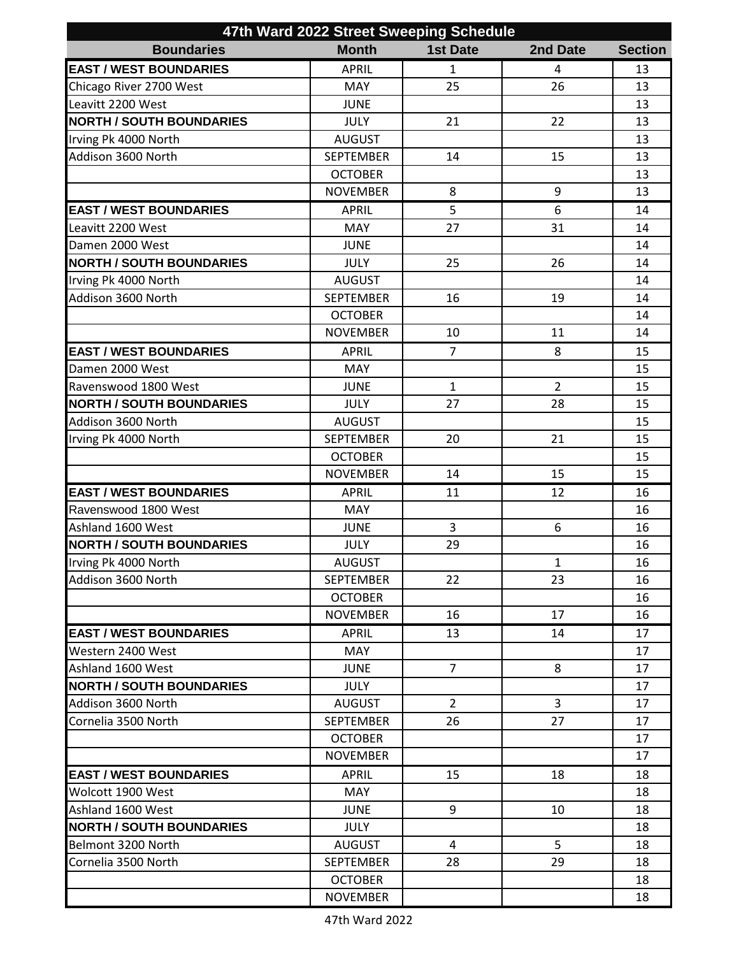| 47th Ward 2022 Street Sweeping Schedule |                  |                 |                |                |  |
|-----------------------------------------|------------------|-----------------|----------------|----------------|--|
| <b>Boundaries</b>                       | <b>Month</b>     | <b>1st Date</b> | 2nd Date       | <b>Section</b> |  |
| <b>EAST / WEST BOUNDARIES</b>           | <b>APRIL</b>     | $\mathbf{1}$    | 4              | 13             |  |
| Chicago River 2700 West                 | MAY              | 25              | 26             | 13             |  |
| Leavitt 2200 West                       | <b>JUNE</b>      |                 |                | 13             |  |
| <b>NORTH / SOUTH BOUNDARIES</b>         | <b>JULY</b>      | 21              | 22             | 13             |  |
| Irving Pk 4000 North                    | <b>AUGUST</b>    |                 |                | 13             |  |
| Addison 3600 North                      | <b>SEPTEMBER</b> | 14              | 15             | 13             |  |
|                                         | <b>OCTOBER</b>   |                 |                | 13             |  |
|                                         | <b>NOVEMBER</b>  | 8               | 9              | 13             |  |
| <b>EAST / WEST BOUNDARIES</b>           | <b>APRIL</b>     | 5               | 6              | 14             |  |
| Leavitt 2200 West                       | MAY              | 27              | 31             | 14             |  |
| Damen 2000 West                         | <b>JUNE</b>      |                 |                | 14             |  |
| <b>NORTH / SOUTH BOUNDARIES</b>         | <b>JULY</b>      | 25              | 26             | 14             |  |
| Irving Pk 4000 North                    | <b>AUGUST</b>    |                 |                | 14             |  |
| Addison 3600 North                      | <b>SEPTEMBER</b> | 16              | 19             | 14             |  |
|                                         | <b>OCTOBER</b>   |                 |                | 14             |  |
|                                         | <b>NOVEMBER</b>  | 10              | 11             | 14             |  |
| <b>EAST / WEST BOUNDARIES</b>           | <b>APRIL</b>     | $\overline{7}$  | 8              | 15             |  |
| Damen 2000 West                         | MAY              |                 |                | 15             |  |
| Ravenswood 1800 West                    | <b>JUNE</b>      | $\mathbf{1}$    | $\overline{2}$ | 15             |  |
| <b>NORTH / SOUTH BOUNDARIES</b>         | <b>JULY</b>      | 27              | 28             | 15             |  |
| Addison 3600 North                      | <b>AUGUST</b>    |                 |                | 15             |  |
| Irving Pk 4000 North                    | <b>SEPTEMBER</b> | 20              | 21             | 15             |  |
|                                         | <b>OCTOBER</b>   |                 |                | 15             |  |
|                                         | <b>NOVEMBER</b>  | 14              | 15             | 15             |  |
| <b>EAST / WEST BOUNDARIES</b>           | <b>APRIL</b>     | 11              | 12             | 16             |  |
| Ravenswood 1800 West                    | MAY              |                 |                | 16             |  |
| Ashland 1600 West                       | <b>JUNE</b>      | 3               | 6              | 16             |  |
| <b>NORTH / SOUTH BOUNDARIES</b>         | JULY             | 29              |                | 16             |  |
| Irving Pk 4000 North                    | AUGUST           |                 | $\mathbf{1}$   | 16             |  |
| Addison 3600 North                      | <b>SEPTEMBER</b> | 22              | 23             | 16             |  |
|                                         | <b>OCTOBER</b>   |                 |                | 16             |  |
|                                         | <b>NOVEMBER</b>  | 16              | 17             | 16             |  |
| <b>EAST / WEST BOUNDARIES</b>           | <b>APRIL</b>     | 13              | 14             | 17             |  |
| Western 2400 West                       | <b>MAY</b>       |                 |                | 17             |  |
| Ashland 1600 West                       | <b>JUNE</b>      | $\overline{7}$  | 8              | 17             |  |
| <b>NORTH / SOUTH BOUNDARIES</b>         | <b>JULY</b>      |                 |                | 17             |  |
| Addison 3600 North                      | <b>AUGUST</b>    | $\overline{2}$  | $\overline{3}$ | 17             |  |
| Cornelia 3500 North                     | <b>SEPTEMBER</b> | 26              | 27             | 17             |  |
|                                         | <b>OCTOBER</b>   |                 |                | 17             |  |
|                                         | <b>NOVEMBER</b>  |                 |                | 17             |  |
| <b>EAST / WEST BOUNDARIES</b>           | <b>APRIL</b>     | 15              | 18             | 18             |  |
| Wolcott 1900 West                       | <b>MAY</b>       |                 |                | 18             |  |
| Ashland 1600 West                       | <b>JUNE</b>      | 9               | 10             | 18             |  |
| <b>NORTH / SOUTH BOUNDARIES</b>         | <b>JULY</b>      |                 |                | 18             |  |
| Belmont 3200 North                      | <b>AUGUST</b>    | 4               | 5              | 18             |  |
| Cornelia 3500 North                     | <b>SEPTEMBER</b> | 28              | 29             | 18             |  |
|                                         | <b>OCTOBER</b>   |                 |                | 18             |  |
|                                         | <b>NOVEMBER</b>  |                 |                | 18             |  |